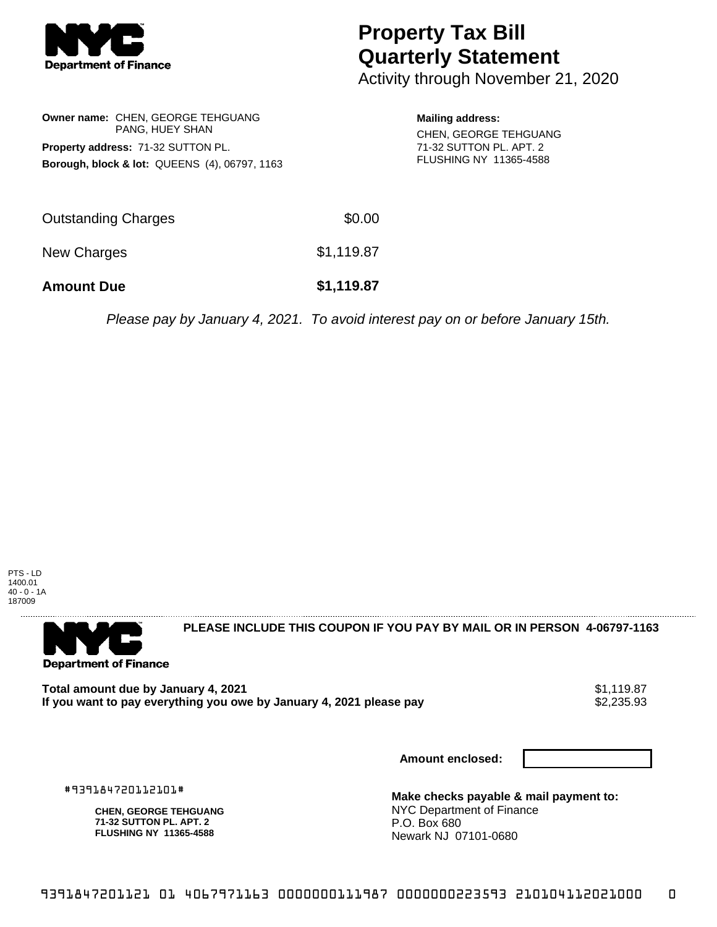

## **Property Tax Bill Quarterly Statement**

Activity through November 21, 2020

**Owner name:** CHEN, GEORGE TEHGUANG PANG, HUEY SHAN **Property address:** 71-32 SUTTON PL. **Borough, block & lot:** QUEENS (4), 06797, 1163

**Mailing address:** CHEN, GEORGE TEHGUANG 71-32 SUTTON PL. APT. 2 FLUSHING NY 11365-4588

| <b>Amount Due</b>   | \$1,119.87 |
|---------------------|------------|
| New Charges         | \$1,119.87 |
| Outstanding Charges | \$0.00     |

Please pay by January 4, 2021. To avoid interest pay on or before January 15th.





**PLEASE INCLUDE THIS COUPON IF YOU PAY BY MAIL OR IN PERSON 4-06797-1163** 

**Total amount due by January 4, 2021**<br>If you want to pay everything you owe by January 4, 2021 please pay **show that the set of the set of the set of** If you want to pay everything you owe by January 4, 2021 please pay

**Amount enclosed:**

#939184720112101#

**CHEN, GEORGE TEHGUANG 71-32 SUTTON PL. APT. 2 FLUSHING NY 11365-4588**

**Make checks payable & mail payment to:** NYC Department of Finance P.O. Box 680 Newark NJ 07101-0680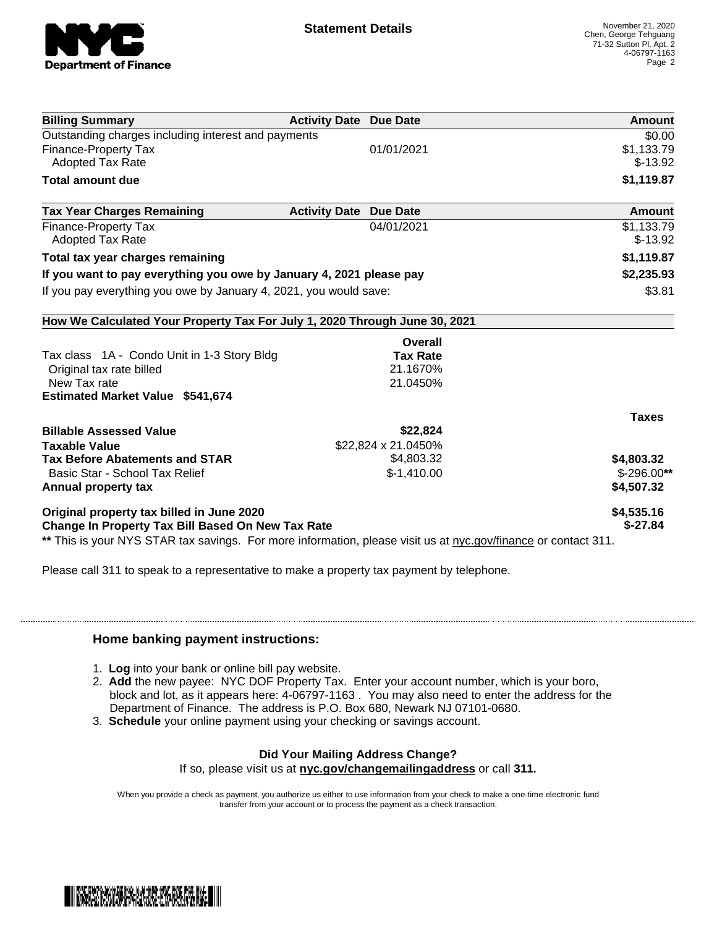

| <b>Billing Summary</b>                                                                                         | <b>Activity Date Due Date</b> | Amount       |
|----------------------------------------------------------------------------------------------------------------|-------------------------------|--------------|
| Outstanding charges including interest and payments                                                            |                               | \$0.00       |
| <b>Finance-Property Tax</b>                                                                                    | 01/01/2021                    | \$1,133.79   |
| Adopted Tax Rate                                                                                               |                               | $$-13.92$    |
| <b>Total amount due</b>                                                                                        |                               | \$1,119.87   |
| <b>Tax Year Charges Remaining</b>                                                                              | <b>Activity Date Due Date</b> | Amount       |
| <b>Finance-Property Tax</b>                                                                                    | 04/01/2021                    | \$1,133.79   |
| <b>Adopted Tax Rate</b>                                                                                        |                               | $$-13.92$    |
| Total tax year charges remaining                                                                               |                               | \$1,119.87   |
| If you want to pay everything you owe by January 4, 2021 please pay                                            |                               | \$2,235.93   |
| If you pay everything you owe by January 4, 2021, you would save:                                              |                               | \$3.81       |
| How We Calculated Your Property Tax For July 1, 2020 Through June 30, 2021                                     |                               |              |
|                                                                                                                | <b>Overall</b>                |              |
| Tax class 1A - Condo Unit in 1-3 Story Bldg                                                                    | <b>Tax Rate</b>               |              |
| Original tax rate billed                                                                                       | 21.1670%                      |              |
| New Tax rate                                                                                                   | 21.0450%                      |              |
| <b>Estimated Market Value \$541,674</b>                                                                        |                               |              |
|                                                                                                                |                               | <b>Taxes</b> |
| <b>Billable Assessed Value</b>                                                                                 | \$22,824                      |              |
| <b>Taxable Value</b>                                                                                           | \$22,824 x 21.0450%           |              |
| <b>Tax Before Abatements and STAR</b>                                                                          | \$4,803.32                    | \$4,803.32   |
| Basic Star - School Tax Relief                                                                                 | $$-1,410.00$                  | $$-296.00**$ |
| Annual property tax                                                                                            |                               | \$4,507.32   |
| Original property tax billed in June 2020                                                                      |                               | \$4,535.16   |
| <b>Change In Property Tax Bill Based On New Tax Rate</b>                                                       |                               | $$-27.84$    |
| ** This is your NYS STAR tax savings. For more information, please visit us at nyc.gov/finance or contact 311. |                               |              |

Please call 311 to speak to a representative to make a property tax payment by telephone.

## **Home banking payment instructions:**

- 1. **Log** into your bank or online bill pay website.
- 2. **Add** the new payee: NYC DOF Property Tax. Enter your account number, which is your boro, block and lot, as it appears here: 4-06797-1163 . You may also need to enter the address for the Department of Finance. The address is P.O. Box 680, Newark NJ 07101-0680.
- 3. **Schedule** your online payment using your checking or savings account.

## **Did Your Mailing Address Change?**

If so, please visit us at **nyc.gov/changemailingaddress** or call **311.**

When you provide a check as payment, you authorize us either to use information from your check to make a one-time electronic fund transfer from your account or to process the payment as a check transaction.